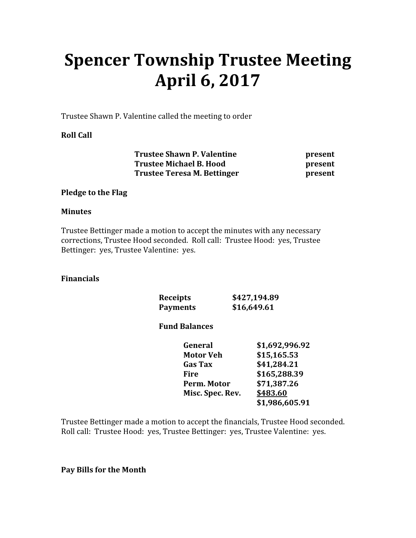# Spencer Township Trustee Meeting April 6, 2017

Trustee Shawn P. Valentine called the meeting to order

### Roll Call

Trustee Shawn P. Valentine **present** Trustee Michael B. Hood present Trustee Teresa M. Bettinger **present** 

#### Pledge to the Flag

#### Minutes

Trustee Bettinger made a motion to accept the minutes with any necessary corrections, Trustee Hood seconded. Roll call: Trustee Hood: yes, Trustee Bettinger: yes, Trustee Valentine: yes.

### Financials

| <b>Receipts</b>      | \$427,194.89   |
|----------------------|----------------|
| <b>Payments</b>      | \$16,649.61    |
| <b>Fund Balances</b> |                |
| General              | \$1,692,996.92 |
| Motor Veh            | \$15,165.53    |
| Gas Tax              | \$41,284.21    |
| <b>Fire</b>          | \$165,288.39   |
| Perm. Motor          | \$71,387.26    |
| Misc. Spec. Rev.     | \$483.60       |
|                      | \$1,986,605.91 |

Trustee Bettinger made a motion to accept the financials, Trustee Hood seconded. Roll call: Trustee Hood: yes, Trustee Bettinger: yes, Trustee Valentine: yes.

Pay Bills for the Month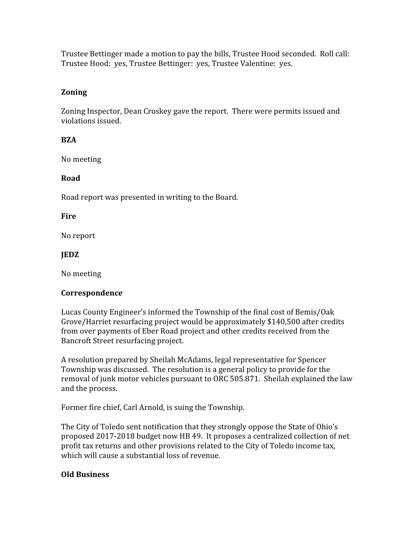Trustee Bettinger made a motion to pay the bills, Trustee Hood seconded. Roll call: Trustee Hood: yes, Trustee Bettinger: yes, Trustee Valentine: yes.

# Zoning

Zoning Inspector, Dean Croskey gave the report. There were permits issued and violations issued.

# BZA

No meeting

## Road

Road report was presented in writing to the Board.

### Fire

No report

## JEDZ

No meeting

# Correspondence

Lucas County Engineer's informed the Township of the final cost of Bemis/Oak Grove/Harriet resurfacing project would be approximately \$140,500 after credits from over payments of Eber Road project and other credits received from the Bancroft Street resurfacing project.

A resolution prepared by Sheilah McAdams, legal representative for Spencer Township was discussed. The resolution is a general policy to provide for the removal of junk motor vehicles pursuant to ORC 505.871. Sheilah explained the law and the process.

Former fire chief, Carl Arnold, is suing the Township.

The City of Toledo sent notification that they strongly oppose the State of Ohio's proposed 2017-2018 budget now HB 49. It proposes a centralized collection of net profit tax returns and other provisions related to the City of Toledo income tax, which will cause a substantial loss of revenue.

# Old Business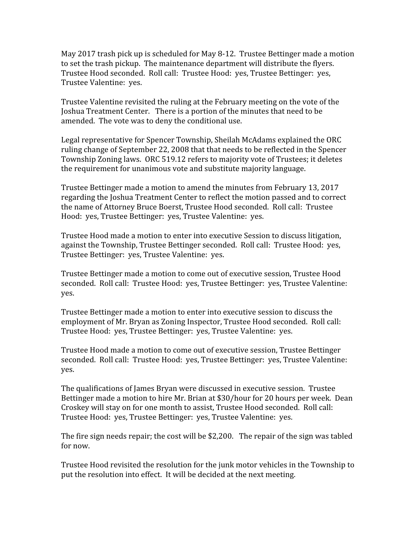May 2017 trash pick up is scheduled for May 8-12. Trustee Bettinger made a motion to set the trash pickup. The maintenance department will distribute the flyers. Trustee Hood seconded. Roll call: Trustee Hood: yes, Trustee Bettinger: yes, Trustee Valentine: yes.

Trustee Valentine revisited the ruling at the February meeting on the vote of the Joshua Treatment Center. There is a portion of the minutes that need to be amended. The vote was to deny the conditional use.

Legal representative for Spencer Township, Sheilah McAdams explained the ORC ruling change of September 22, 2008 that that needs to be reflected in the Spencer Township Zoning laws. ORC 519.12 refers to majority vote of Trustees; it deletes the requirement for unanimous vote and substitute majority language.

Trustee Bettinger made a motion to amend the minutes from February 13, 2017 regarding the Joshua Treatment Center to reflect the motion passed and to correct the name of Attorney Bruce Boerst, Trustee Hood seconded. Roll call: Trustee Hood: yes, Trustee Bettinger: yes, Trustee Valentine: yes.

Trustee Hood made a motion to enter into executive Session to discuss litigation, against the Township, Trustee Bettinger seconded. Roll call: Trustee Hood: yes, Trustee Bettinger: yes, Trustee Valentine: yes.

Trustee Bettinger made a motion to come out of executive session, Trustee Hood seconded. Roll call: Trustee Hood: yes, Trustee Bettinger: yes, Trustee Valentine: yes.

Trustee Bettinger made a motion to enter into executive session to discuss the employment of Mr. Bryan as Zoning Inspector, Trustee Hood seconded. Roll call: Trustee Hood: yes, Trustee Bettinger: yes, Trustee Valentine: yes.

Trustee Hood made a motion to come out of executive session, Trustee Bettinger seconded. Roll call: Trustee Hood: yes, Trustee Bettinger: yes, Trustee Valentine: yes.

The qualifications of James Bryan were discussed in executive session. Trustee Bettinger made a motion to hire Mr. Brian at \$30/hour for 20 hours per week. Dean Croskey will stay on for one month to assist, Trustee Hood seconded. Roll call: Trustee Hood: yes, Trustee Bettinger: yes, Trustee Valentine: yes.

The fire sign needs repair; the cost will be \$2,200. The repair of the sign was tabled for now.

Trustee Hood revisited the resolution for the junk motor vehicles in the Township to put the resolution into effect. It will be decided at the next meeting.